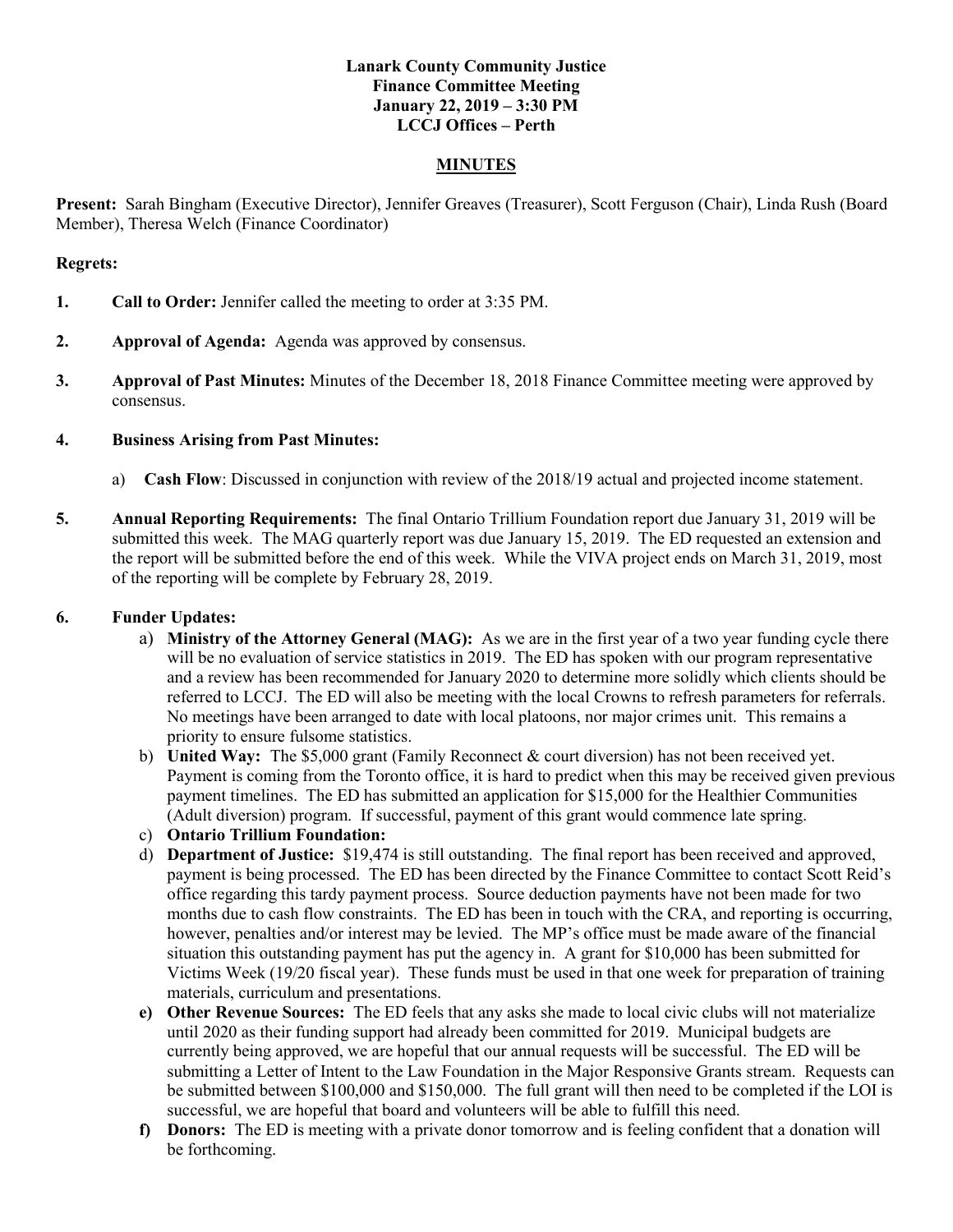### **Lanark County Community Justice Finance Committee Meeting January 22, 2019 – 3:30 PM LCCJ Offices – Perth**

### **MINUTES**

**Present:** Sarah Bingham (Executive Director), Jennifer Greaves (Treasurer), Scott Ferguson (Chair), Linda Rush (Board Member), Theresa Welch (Finance Coordinator)

#### **Regrets:**

- **1. Call to Order:** Jennifer called the meeting to order at 3:35 PM.
- **2. Approval of Agenda:** Agenda was approved by consensus.
- **3. Approval of Past Minutes:** Minutes of the December 18, 2018 Finance Committee meeting were approved by consensus.

### **4. Business Arising from Past Minutes:**

- a) **Cash Flow**: Discussed in conjunction with review of the 2018/19 actual and projected income statement.
- **5. Annual Reporting Requirements:** The final Ontario Trillium Foundation report due January 31, 2019 will be submitted this week. The MAG quarterly report was due January 15, 2019. The ED requested an extension and the report will be submitted before the end of this week. While the VIVA project ends on March 31, 2019, most of the reporting will be complete by February 28, 2019.

## **6. Funder Updates:**

- a) **Ministry of the Attorney General (MAG):** As we are in the first year of a two year funding cycle there will be no evaluation of service statistics in 2019. The ED has spoken with our program representative and a review has been recommended for January 2020 to determine more solidly which clients should be referred to LCCJ. The ED will also be meeting with the local Crowns to refresh parameters for referrals. No meetings have been arranged to date with local platoons, nor major crimes unit. This remains a priority to ensure fulsome statistics.
- b) **United Way:** The \$5,000 grant (Family Reconnect & court diversion) has not been received yet. Payment is coming from the Toronto office, it is hard to predict when this may be received given previous payment timelines. The ED has submitted an application for \$15,000 for the Healthier Communities (Adult diversion) program. If successful, payment of this grant would commence late spring.
- c) **Ontario Trillium Foundation:**
- d) **Department of Justice:** \$19,474 is still outstanding. The final report has been received and approved, payment is being processed. The ED has been directed by the Finance Committee to contact Scott Reid's office regarding this tardy payment process. Source deduction payments have not been made for two months due to cash flow constraints. The ED has been in touch with the CRA, and reporting is occurring, however, penalties and/or interest may be levied. The MP's office must be made aware of the financial situation this outstanding payment has put the agency in. A grant for \$10,000 has been submitted for Victims Week (19/20 fiscal year). These funds must be used in that one week for preparation of training materials, curriculum and presentations.
- **e) Other Revenue Sources:** The ED feels that any asks she made to local civic clubs will not materialize until 2020 as their funding support had already been committed for 2019. Municipal budgets are currently being approved, we are hopeful that our annual requests will be successful. The ED will be submitting a Letter of Intent to the Law Foundation in the Major Responsive Grants stream. Requests can be submitted between \$100,000 and \$150,000. The full grant will then need to be completed if the LOI is successful, we are hopeful that board and volunteers will be able to fulfill this need.
- **f) Donors:** The ED is meeting with a private donor tomorrow and is feeling confident that a donation will be forthcoming.